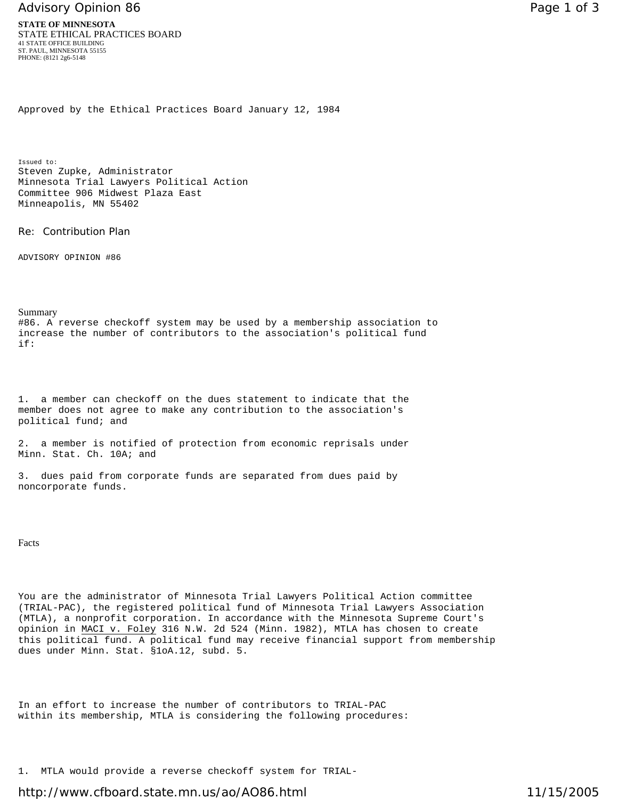## Advisory Opinion 86 **Page 1 of 3** Page 1 of 3

Approved by the Ethical Practices Board January 12, 1984

Issued to: Steven Zupke, Administrator Minnesota Trial Lawyers Political Action Committee 906 Midwest Plaza East Minneapolis, MN 55402

Re: Contribution Plan

ADVISORY OPINION #86

## Summary

#86. A reverse checkoff system may be used by a membership association to increase the number of contributors to the association's political fund if:

1. a member can checkoff on the dues statement to indicate that the member does not agree to make any contribution to the association's political fund; and

2. a member is notified of protection from economic reprisals under Minn. Stat. Ch. 10A; and

3. dues paid from corporate funds are separated from dues paid by noncorporate funds.

Facts

You are the administrator of Minnesota Trial Lawyers Political Action committee (TRIAL-PAC), the registered political fund of Minnesota Trial Lawyers Association (MTLA), a nonprofit corporation. In accordance with the Minnesota Supreme Court's opinion in MACI v. Foley 316 N.W. 2d 524 (Minn. 1982), MTLA has chosen to create this political fund. A political fund may receive financial support from membership dues under Minn. Stat. §1oA.12, subd. 5.

In an effort to increase the number of contributors to TRIAL-PAC within its membership, MTLA is considering the following procedures:

1. MTLA would provide a reverse checkoff system for TRIAL-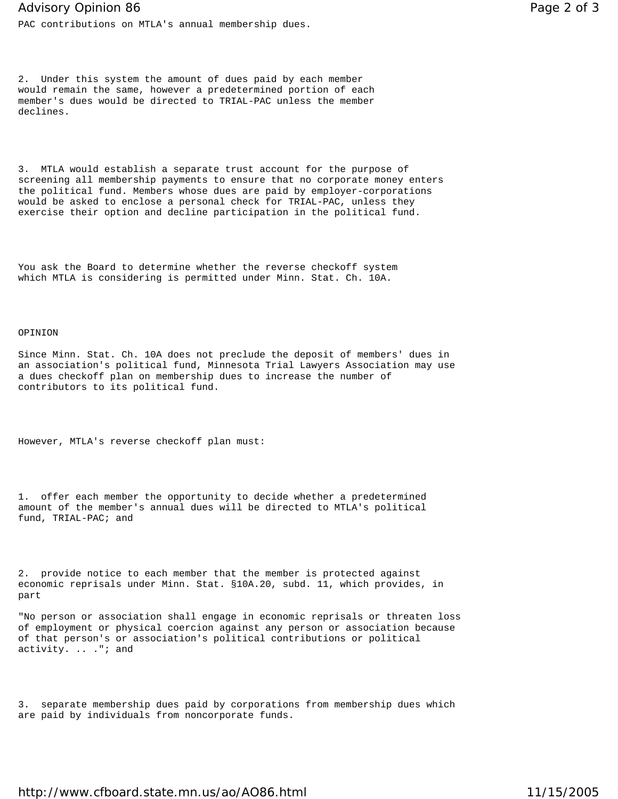PAC contributions on MTLA's annual membership dues.

2. Under this system the amount of dues paid by each member would remain the same, however a predetermined portion of each member's dues would be directed to TRIAL-PAC unless the member declines.

3. MTLA would establish a separate trust account for the purpose of screening all membership payments to ensure that no corporate money enters the political fund. Members whose dues are paid by employer-corporations would be asked to enclose a personal check for TRIAL-PAC, unless they exercise their option and decline participation in the political fund.

You ask the Board to determine whether the reverse checkoff system which MTLA is considering is permitted under Minn. Stat. Ch. 10A.

## OPINION

Since Minn. Stat. Ch. 10A does not preclude the deposit of members' dues in an association's political fund, Minnesota Trial Lawyers Association may use a dues checkoff plan on membership dues to increase the number of contributors to its political fund.

However, MTLA's reverse checkoff plan must:

1. offer each member the opportunity to decide whether a predetermined amount of the member's annual dues will be directed to MTLA's political fund, TRIAL-PAC; and

2. provide notice to each member that the member is protected against economic reprisals under Minn. Stat. §10A.20, subd. 11, which provides, in part

"No person or association shall engage in economic reprisals or threaten loss of employment or physical coercion against any person or association because of that person's or association's political contributions or political activity. .. ."; and

3. separate membership dues paid by corporations from membership dues which are paid by individuals from noncorporate funds.